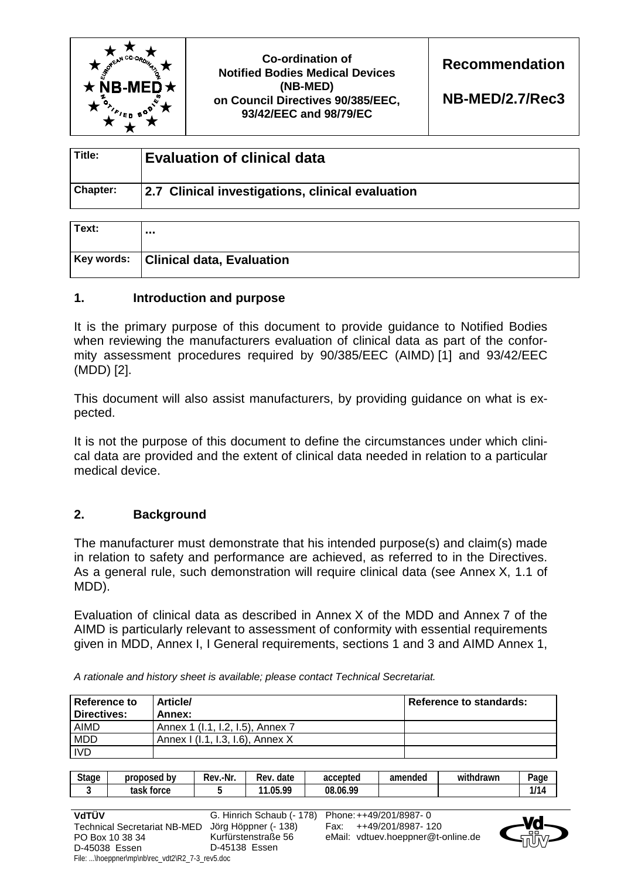

# **Co-ordination of Notified Bodies Medical Devices (NB-MED) on Council Directives 90/385/EEC, 93/42/EEC and 98/79/EC**

**Recommendation** 

**NB-MED/2.7/Rec3**

| Title:          | <b>Evaluation of clinical data</b>               |
|-----------------|--------------------------------------------------|
| <b>Chapter:</b> | 2.7 Clinical investigations, clinical evaluation |

| Text: |                                      |
|-------|--------------------------------------|
|       | Key words: Clinical data, Evaluation |

## **1. Introduction and purpose**

It is the primary purpose of this document to provide guidance to Notified Bodies when reviewing the manufacturers evaluation of clinical data as part of the conformity assessment procedures required by 90/385/EEC (AIMD) [1] and 93/42/EEC (MDD) [2].

This document will also assist manufacturers, by providing guidance on what is expected.

It is not the purpose of this document to define the circumstances under which clinical data are provided and the extent of clinical data needed in relation to a particular medical device.

# **2. Background**

The manufacturer must demonstrate that his intended purpose(s) and claim(s) made in relation to safety and performance are achieved, as referred to in the Directives. As a general rule, such demonstration will require clinical data (see Annex X, 1.1 of MDD).

Evaluation of clinical data as described in Annex X of the MDD and Annex 7 of the AIMD is particularly relevant to assessment of conformity with essential requirements given in MDD, Annex I, I General requirements, sections 1 and 3 and AIMD Annex 1,

*A rationale and history sheet is available; please contact Technical Secretariat.* 

| Reference to<br>Directives: | <b>Article/</b><br>Annex:        | Reference to standards: |
|-----------------------------|----------------------------------|-------------------------|
| <b>AIMD</b>                 | Annex 1 (I.1, I.2, I.5), Annex 7 |                         |
| <b>MDD</b>                  | Annex I (I.1, I.3, I.6), Annex X |                         |
| <b>IVD</b>                  |                                  |                         |

| <b>Stage</b> | b٧<br>proposed       | .-Nr.<br>Rev. | date<br><b>Rev</b>  | accepted | amended | $\cdots$<br>withdrawn | -<br>Page  |
|--------------|----------------------|---------------|---------------------|----------|---------|-----------------------|------------|
|              | task<br><b>torce</b> |               | NE 00<br>44<br>.u., | 08.06.99 |         |                       | 414/<br>14 |

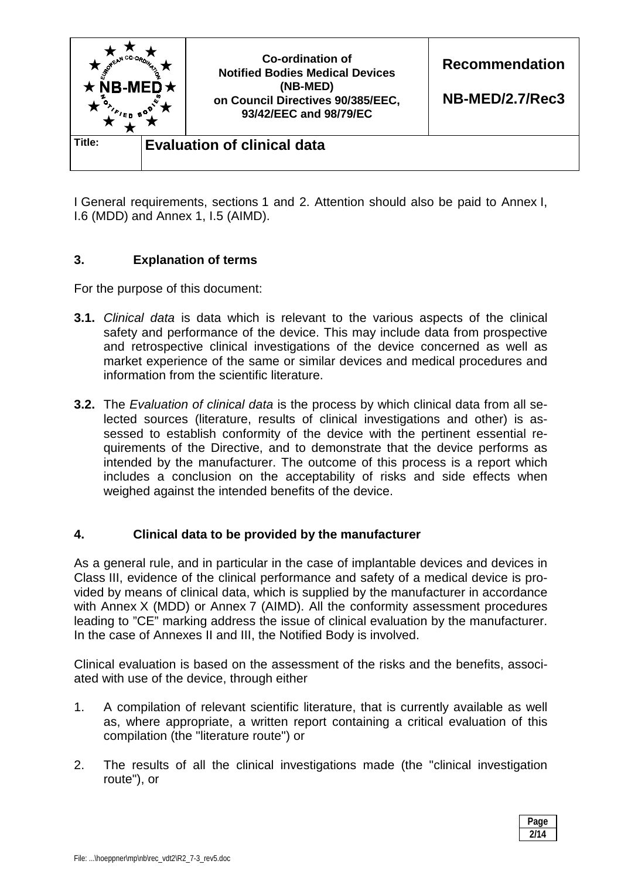

I General requirements, sections 1 and 2. Attention should also be paid to Annex I, I.6 (MDD) and Annex 1, I.5 (AIMD).

### **3. Explanation of terms**

For the purpose of this document:

- **3.1.** *Clinical data* is data which is relevant to the various aspects of the clinical safety and performance of the device. This may include data from prospective and retrospective clinical investigations of the device concerned as well as market experience of the same or similar devices and medical procedures and information from the scientific literature.
- **3.2.** The *Evaluation of clinical data* is the process by which clinical data from all selected sources (literature, results of clinical investigations and other) is assessed to establish conformity of the device with the pertinent essential requirements of the Directive, and to demonstrate that the device performs as intended by the manufacturer. The outcome of this process is a report which includes a conclusion on the acceptability of risks and side effects when weighed against the intended benefits of the device.

### **4. Clinical data to be provided by the manufacturer**

As a general rule, and in particular in the case of implantable devices and devices in Class III, evidence of the clinical performance and safety of a medical device is provided by means of clinical data, which is supplied by the manufacturer in accordance with Annex X (MDD) or Annex 7 (AIMD). All the conformity assessment procedures leading to "CE" marking address the issue of clinical evaluation by the manufacturer. In the case of Annexes II and III, the Notified Body is involved.

Clinical evaluation is based on the assessment of the risks and the benefits, associated with use of the device, through either

- 1. A compilation of relevant scientific literature, that is currently available as well as, where appropriate, a written report containing a critical evaluation of this compilation (the "literature route") or
- 2. The results of all the clinical investigations made (the "clinical investigation route"), or

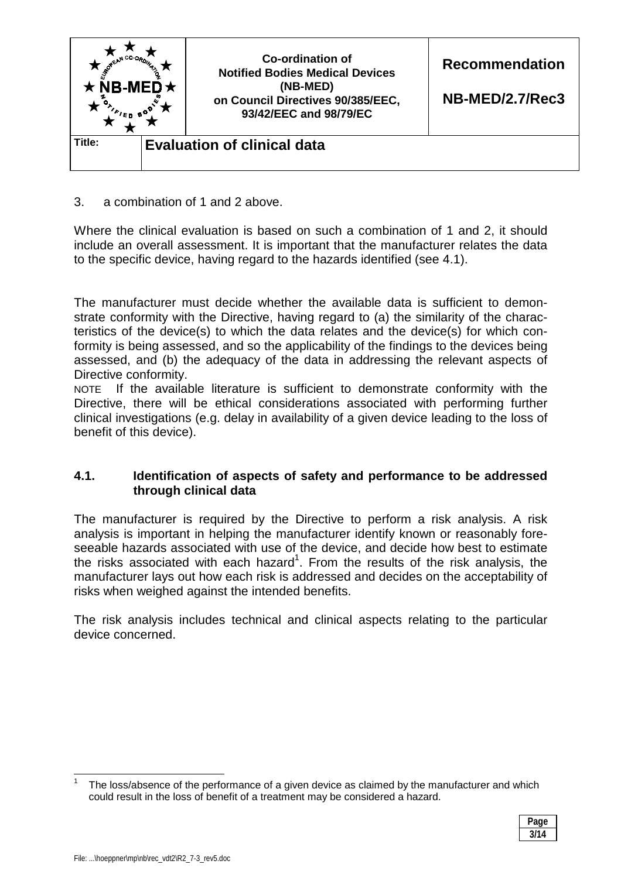

3. a combination of 1 and 2 above.

Where the clinical evaluation is based on such a combination of 1 and 2, it should include an overall assessment. It is important that the manufacturer relates the data to the specific device, having regard to the hazards identified (see 4.1).

The manufacturer must decide whether the available data is sufficient to demonstrate conformity with the Directive, having regard to (a) the similarity of the characteristics of the device(s) to which the data relates and the device(s) for which conformity is being assessed, and so the applicability of the findings to the devices being assessed, and (b) the adequacy of the data in addressing the relevant aspects of Directive conformity.

NOTE If the available literature is sufficient to demonstrate conformity with the Directive, there will be ethical considerations associated with performing further clinical investigations (e.g. delay in availability of a given device leading to the loss of benefit of this device).

## **4.1. Identification of aspects of safety and performance to be addressed through clinical data**

The manufacturer is required by the Directive to perform a risk analysis. A risk analysis is important in helping the manufacturer identify known or reasonably foreseeable hazards associated with use of the device, and decide how best to estimate the risks associated with each hazard<sup>1</sup>. From the results of the risk analysis, the manufacturer lays out how each risk is addressed and decides on the acceptability of risks when weighed against the intended benefits.

The risk analysis includes technical and clinical aspects relating to the particular device concerned.

<sup>1</sup> The loss/absence of the performance of a given device as claimed by the manufacturer and which could result in the loss of benefit of a treatment may be considered a hazard.



 $\overline{\phantom{a}}$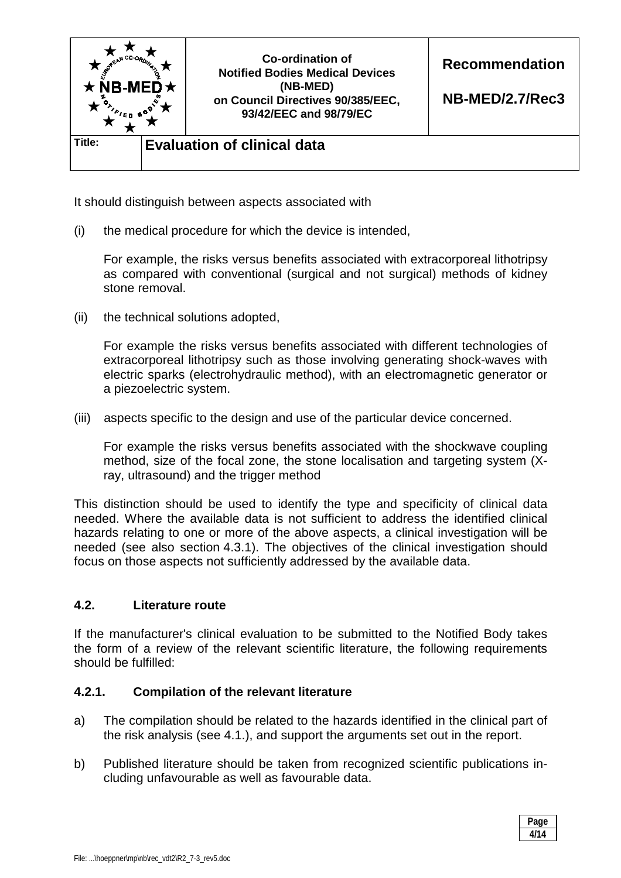

It should distinguish between aspects associated with

(i) the medical procedure for which the device is intended,

 For example, the risks versus benefits associated with extracorporeal lithotripsy as compared with conventional (surgical and not surgical) methods of kidney stone removal.

(ii) the technical solutions adopted,

 For example the risks versus benefits associated with different technologies of extracorporeal lithotripsy such as those involving generating shock-waves with electric sparks (electrohydraulic method), with an electromagnetic generator or a piezoelectric system.

(iii) aspects specific to the design and use of the particular device concerned.

 For example the risks versus benefits associated with the shockwave coupling method, size of the focal zone, the stone localisation and targeting system (Xray, ultrasound) and the trigger method

This distinction should be used to identify the type and specificity of clinical data needed. Where the available data is not sufficient to address the identified clinical hazards relating to one or more of the above aspects, a clinical investigation will be needed (see also section 4.3.1). The objectives of the clinical investigation should focus on those aspects not sufficiently addressed by the available data.

### **4.2. Literature route**

If the manufacturer's clinical evaluation to be submitted to the Notified Body takes the form of a review of the relevant scientific literature, the following requirements should be fulfilled:

### **4.2.1. Compilation of the relevant literature**

- a) The compilation should be related to the hazards identified in the clinical part of the risk analysis (see 4.1.), and support the arguments set out in the report.
- b) Published literature should be taken from recognized scientific publications including unfavourable as well as favourable data.

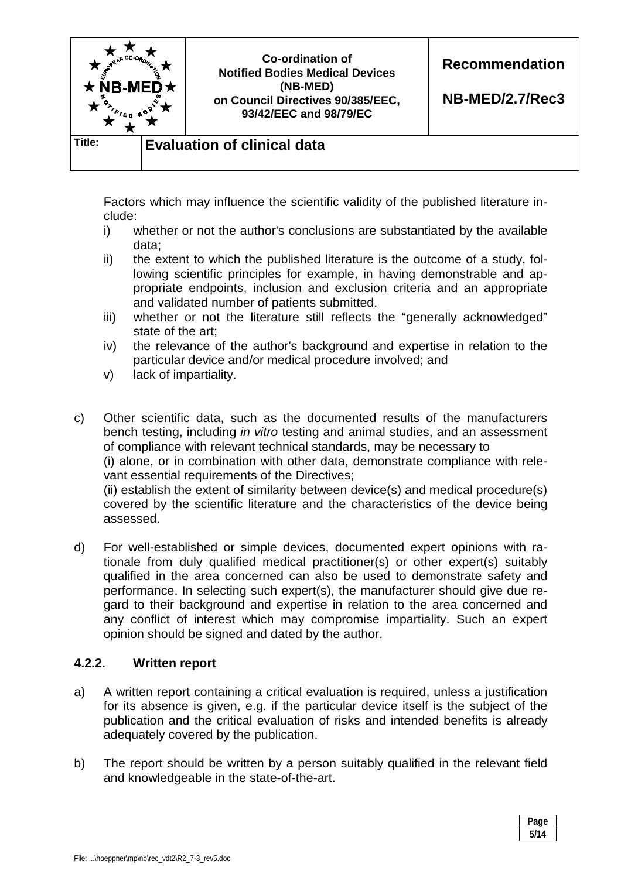

 Factors which may influence the scientific validity of the published literature include:

- i) whether or not the author's conclusions are substantiated by the available data;
- ii) the extent to which the published literature is the outcome of a study, following scientific principles for example, in having demonstrable and appropriate endpoints, inclusion and exclusion criteria and an appropriate and validated number of patients submitted.
- iii) whether or not the literature still reflects the "generally acknowledged" state of the art;
- iv) the relevance of the author's background and expertise in relation to the particular device and/or medical procedure involved; and
- v) lack of impartiality.

c) Other scientific data, such as the documented results of the manufacturers bench testing, including *in vitro* testing and animal studies, and an assessment of compliance with relevant technical standards, may be necessary to

 (i) alone, or in combination with other data, demonstrate compliance with relevant essential requirements of the Directives:

 (ii) establish the extent of similarity between device(s) and medical procedure(s) covered by the scientific literature and the characteristics of the device being assessed.

d) For well-established or simple devices, documented expert opinions with rationale from duly qualified medical practitioner(s) or other expert(s) suitably qualified in the area concerned can also be used to demonstrate safety and performance. In selecting such expert(s), the manufacturer should give due regard to their background and expertise in relation to the area concerned and any conflict of interest which may compromise impartiality. Such an expert opinion should be signed and dated by the author.

# **4.2.2. Written report**

- a) A written report containing a critical evaluation is required, unless a justification for its absence is given, e.g. if the particular device itself is the subject of the publication and the critical evaluation of risks and intended benefits is already adequately covered by the publication.
- b) The report should be written by a person suitably qualified in the relevant field and knowledgeable in the state-of-the-art.

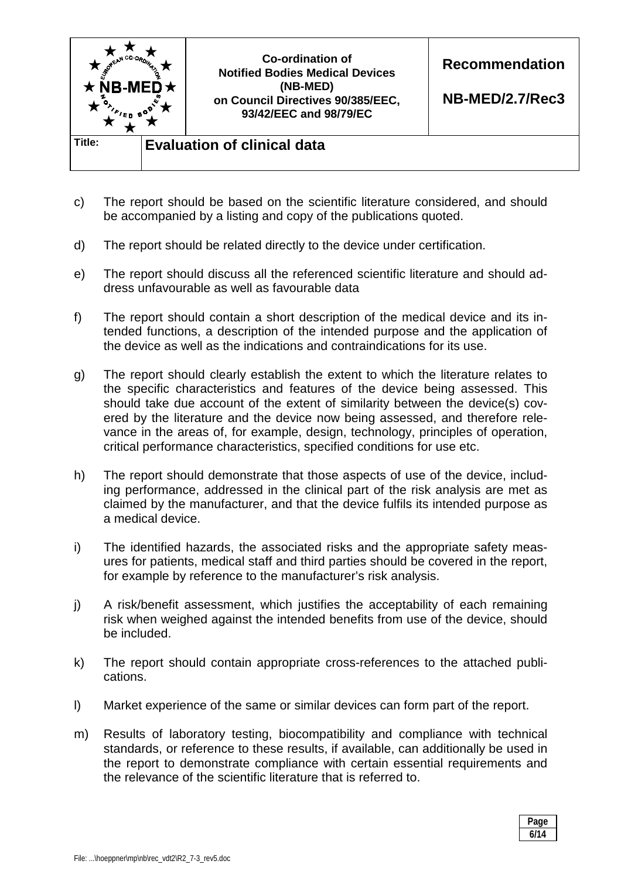

- c) The report should be based on the scientific literature considered, and should be accompanied by a listing and copy of the publications quoted.
- d) The report should be related directly to the device under certification.
- e) The report should discuss all the referenced scientific literature and should address unfavourable as well as favourable data
- f) The report should contain a short description of the medical device and its intended functions, a description of the intended purpose and the application of the device as well as the indications and contraindications for its use.
- g) The report should clearly establish the extent to which the literature relates to the specific characteristics and features of the device being assessed. This should take due account of the extent of similarity between the device(s) covered by the literature and the device now being assessed, and therefore relevance in the areas of, for example, design, technology, principles of operation, critical performance characteristics, specified conditions for use etc.
- h) The report should demonstrate that those aspects of use of the device, including performance, addressed in the clinical part of the risk analysis are met as claimed by the manufacturer, and that the device fulfils its intended purpose as a medical device.
- i) The identified hazards, the associated risks and the appropriate safety measures for patients, medical staff and third parties should be covered in the report, for example by reference to the manufacturer's risk analysis.
- j) A risk/benefit assessment, which justifies the acceptability of each remaining risk when weighed against the intended benefits from use of the device, should be included.
- k) The report should contain appropriate cross-references to the attached publications.
- l) Market experience of the same or similar devices can form part of the report.
- m) Results of laboratory testing, biocompatibility and compliance with technical standards, or reference to these results, if available, can additionally be used in the report to demonstrate compliance with certain essential requirements and the relevance of the scientific literature that is referred to.

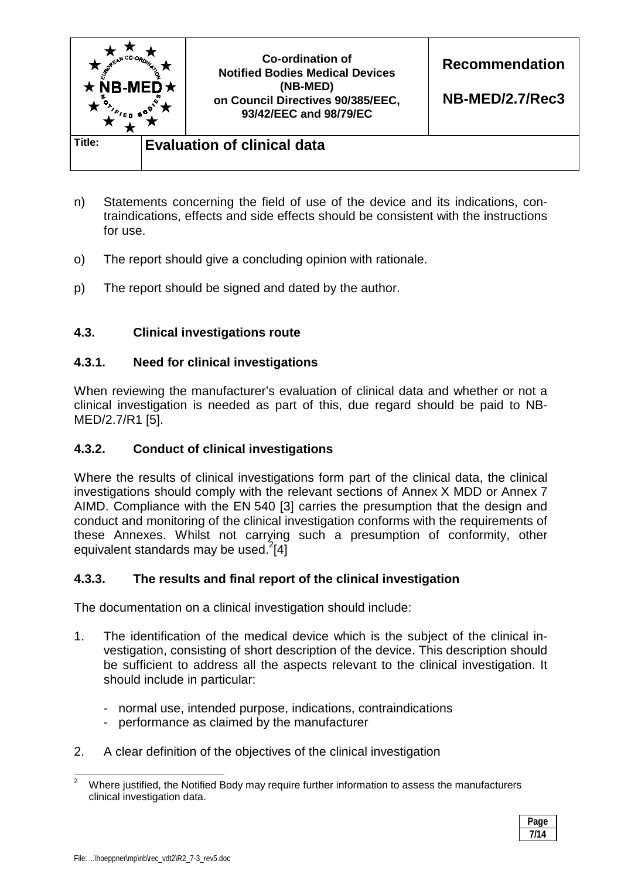

- n) Statements concerning the field of use of the device and its indications, contraindications, effects and side effects should be consistent with the instructions for use.
- o) The report should give a concluding opinion with rationale.
- p) The report should be signed and dated by the author.

## **4.3. Clinical investigations route**

### **4.3.1. Need for clinical investigations**

When reviewing the manufacturer's evaluation of clinical data and whether or not a clinical investigation is needed as part of this, due regard should be paid to NB-MED/2.7/R1 [5].

# **4.3.2. Conduct of clinical investigations**

Where the results of clinical investigations form part of the clinical data, the clinical investigations should comply with the relevant sections of Annex X MDD or Annex 7 AIMD. Compliance with the EN 540 [3] carries the presumption that the design and conduct and monitoring of the clinical investigation conforms with the requirements of these Annexes. Whilst not carrying such a presumption of conformity, other equivalent standards may be used. $^{2}[4]$ 

### **4.3.3. The results and final report of the clinical investigation**

The documentation on a clinical investigation should include:

- 1. The identification of the medical device which is the subject of the clinical investigation, consisting of short description of the device. This description should be sufficient to address all the aspects relevant to the clinical investigation. It should include in particular:
	- normal use, intended purpose, indications, contraindications
	- performance as claimed by the manufacturer
- 2. A clear definition of the objectives of the clinical investigation

<sup>&</sup>lt;sup>2</sup> Where justified, the Notified Body may require further information to assess the manufacturers clinical investigation data.

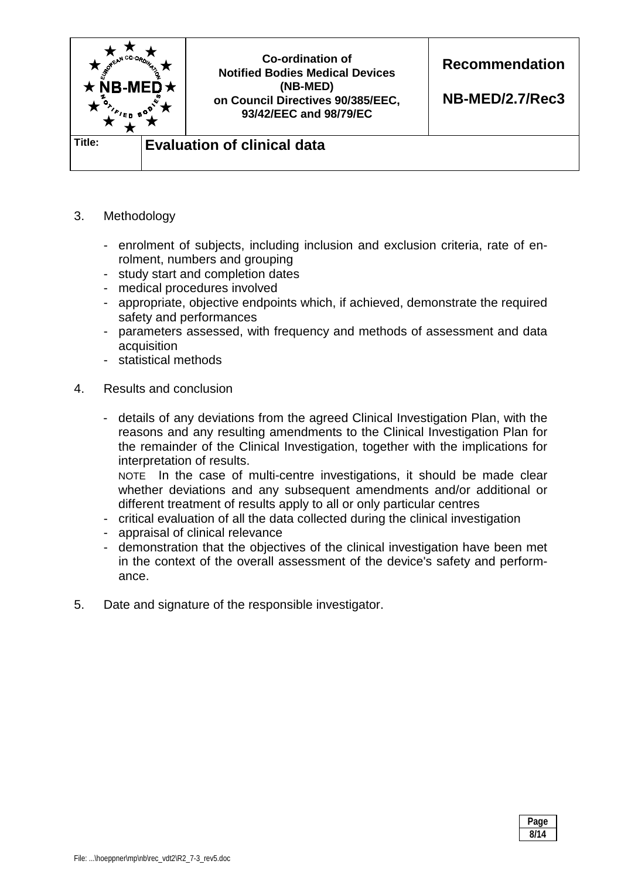

- 3. Methodology
	- enrolment of subjects, including inclusion and exclusion criteria, rate of enrolment, numbers and grouping
	- study start and completion dates
	- medical procedures involved
	- appropriate, objective endpoints which, if achieved, demonstrate the required safety and performances
	- parameters assessed, with frequency and methods of assessment and data acquisition
	- statistical methods
- 4. Results and conclusion
	- details of any deviations from the agreed Clinical Investigation Plan, with the reasons and any resulting amendments to the Clinical Investigation Plan for the remainder of the Clinical Investigation, together with the implications for interpretation of results.

NOTE In the case of multi-centre investigations, it should be made clear whether deviations and any subsequent amendments and/or additional or different treatment of results apply to all or only particular centres

- critical evaluation of all the data collected during the clinical investigation
- appraisal of clinical relevance
- demonstration that the objectives of the clinical investigation have been met in the context of the overall assessment of the device's safety and performance.
- 5. Date and signature of the responsible investigator.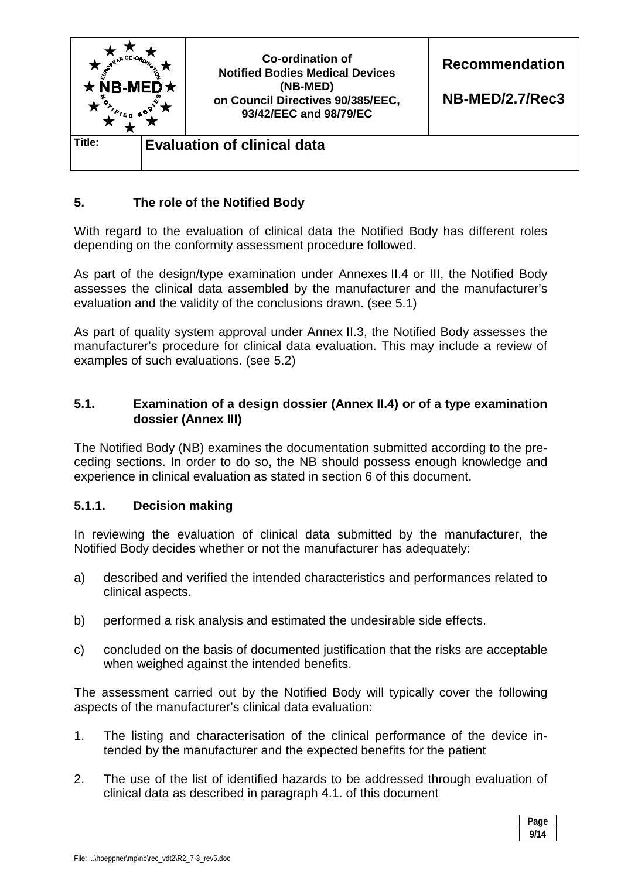

## **5. The role of the Notified Body**

With regard to the evaluation of clinical data the Notified Body has different roles depending on the conformity assessment procedure followed.

As part of the design/type examination under Annexes II.4 or III, the Notified Body assesses the clinical data assembled by the manufacturer and the manufacturer's evaluation and the validity of the conclusions drawn. (see 5.1)

As part of quality system approval under Annex II.3, the Notified Body assesses the manufacturer's procedure for clinical data evaluation. This may include a review of examples of such evaluations. (see 5.2)

### **5.1. Examination of a design dossier (Annex II.4) or of a type examination dossier (Annex III)**

The Notified Body (NB) examines the documentation submitted according to the preceding sections. In order to do so, the NB should possess enough knowledge and experience in clinical evaluation as stated in section 6 of this document.

### **5.1.1. Decision making**

In reviewing the evaluation of clinical data submitted by the manufacturer, the Notified Body decides whether or not the manufacturer has adequately:

- a) described and verified the intended characteristics and performances related to clinical aspects.
- b) performed a risk analysis and estimated the undesirable side effects.
- c) concluded on the basis of documented justification that the risks are acceptable when weighed against the intended benefits.

The assessment carried out by the Notified Body will typically cover the following aspects of the manufacturer's clinical data evaluation:

- 1. The listing and characterisation of the clinical performance of the device intended by the manufacturer and the expected benefits for the patient
- 2. The use of the list of identified hazards to be addressed through evaluation of clinical data as described in paragraph 4.1. of this document

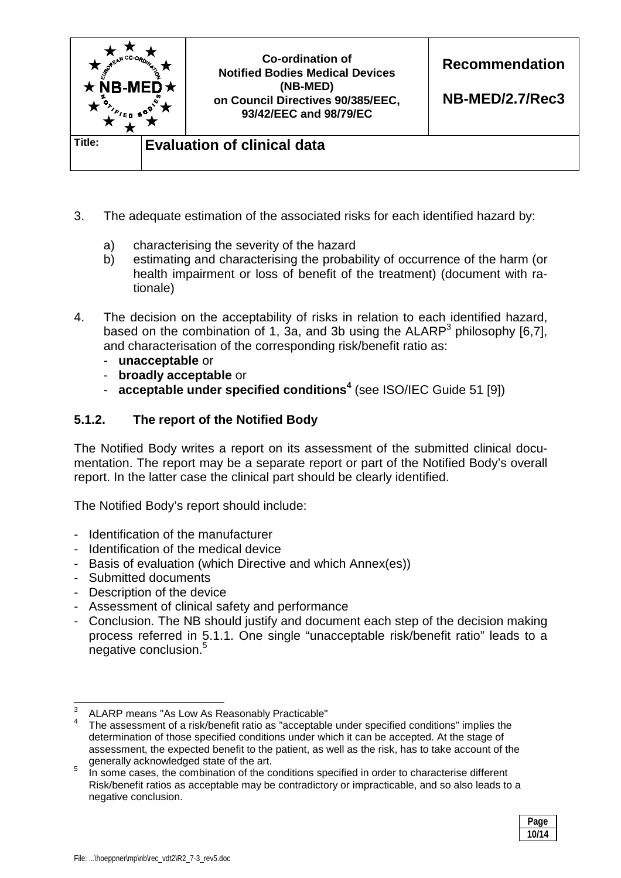

- 3. The adequate estimation of the associated risks for each identified hazard by:
	- a) characterising the severity of the hazard
	- b) estimating and characterising the probability of occurrence of the harm (or health impairment or loss of benefit of the treatment) (document with rationale)
- 4. The decision on the acceptability of risks in relation to each identified hazard, based on the combination of 1, 3a, and 3b using the ALARP<sup>3</sup> philosophy [6,7], and characterisation of the corresponding risk/benefit ratio as:
	- **unacceptable** or
	- **broadly acceptable** or
	- **acceptable under specified conditions<sup>4</sup>** (see ISO/IEC Guide 51 [9])

# **5.1.2. The report of the Notified Body**

The Notified Body writes a report on its assessment of the submitted clinical documentation. The report may be a separate report or part of the Notified Body's overall report. In the latter case the clinical part should be clearly identified.

The Notified Body's report should include:

- Identification of the manufacturer
- Identification of the medical device
- Basis of evaluation (which Directive and which Annex(es))
- Submitted documents
- Description of the device
- Assessment of clinical safety and performance
- Conclusion. The NB should justify and document each step of the decision making process referred in 5.1.1. One single "unacceptable risk/benefit ratio" leads to a negative conclusion.<sup>5</sup>

In some cases, the combination of the conditions specified in order to characterise different Risk/benefit ratios as acceptable may be contradictory or impracticable, and so also leads to a negative conclusion.



<sup>-&</sup>lt;br>3 ALARP means "As Low As Reasonably Practicable"

<sup>4</sup> The assessment of a risk/benefit ratio as "acceptable under specified conditions" implies the determination of those specified conditions under which it can be accepted. At the stage of assessment, the expected benefit to the patient, as well as the risk, has to take account of the generally acknowledged state of the art. 5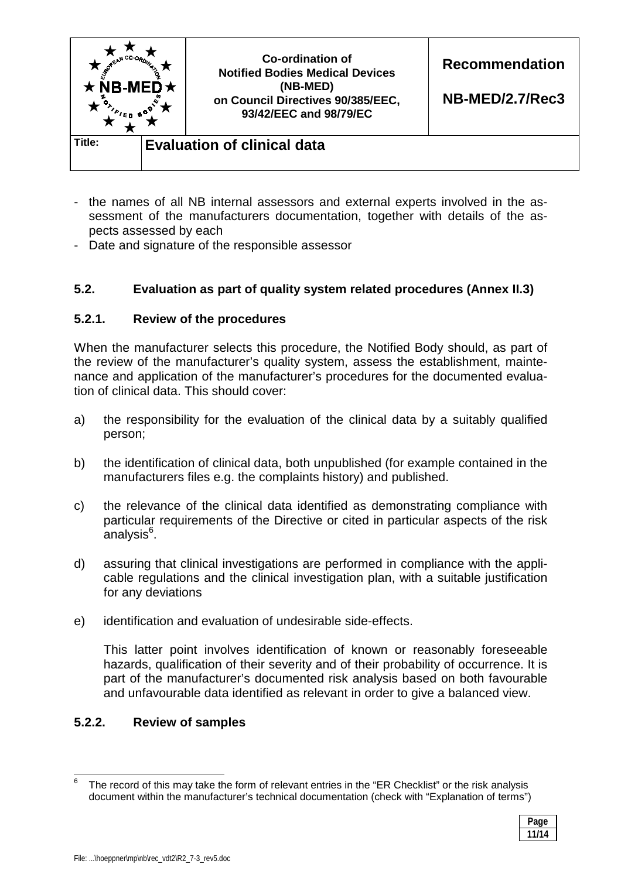

- the names of all NB internal assessors and external experts involved in the assessment of the manufacturers documentation, together with details of the aspects assessed by each
- Date and signature of the responsible assessor

### **5.2. Evaluation as part of quality system related procedures (Annex II.3)**

### **5.2.1. Review of the procedures**

When the manufacturer selects this procedure, the Notified Body should, as part of the review of the manufacturer's quality system, assess the establishment, maintenance and application of the manufacturer's procedures for the documented evaluation of clinical data. This should cover:

- a) the responsibility for the evaluation of the clinical data by a suitably qualified person;
- b) the identification of clinical data, both unpublished (for example contained in the manufacturers files e.g. the complaints history) and published.
- c) the relevance of the clinical data identified as demonstrating compliance with particular requirements of the Directive or cited in particular aspects of the risk .<br>analysis<sup>6</sup>.
- d) assuring that clinical investigations are performed in compliance with the applicable regulations and the clinical investigation plan, with a suitable justification for any deviations
- e) identification and evaluation of undesirable side-effects.

 This latter point involves identification of known or reasonably foreseeable hazards, qualification of their severity and of their probability of occurrence. It is part of the manufacturer's documented risk analysis based on both favourable and unfavourable data identified as relevant in order to give a balanced view.

### **5.2.2. Review of samples**

<sup>6</sup> The record of this may take the form of relevant entries in the "ER Checklist" or the risk analysis document within the manufacturer's technical documentation (check with "Explanation of terms")



 $\overline{\phantom{a}}$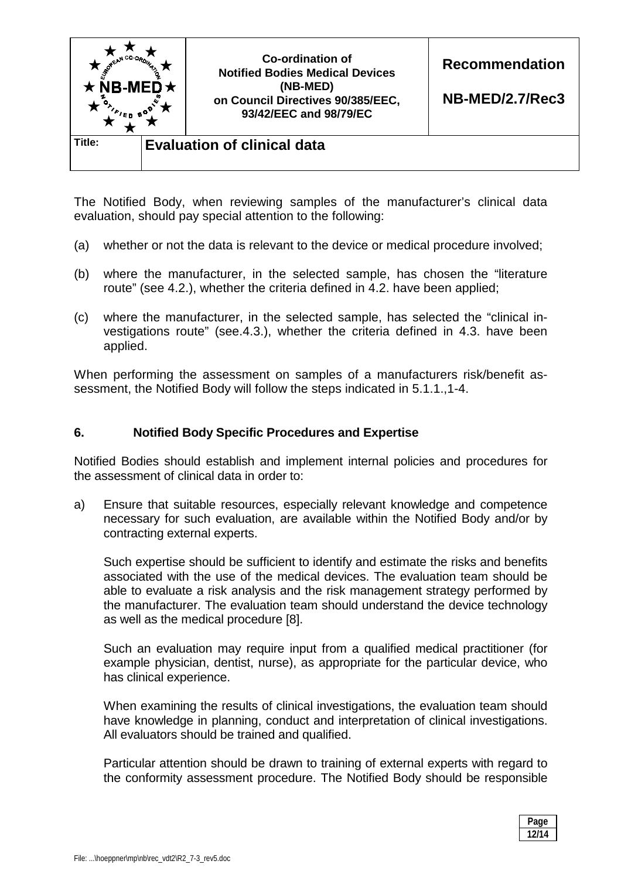

The Notified Body, when reviewing samples of the manufacturer's clinical data evaluation, should pay special attention to the following:

- (a) whether or not the data is relevant to the device or medical procedure involved;
- (b) where the manufacturer, in the selected sample, has chosen the "literature route" (see 4.2.), whether the criteria defined in 4.2. have been applied;
- (c) where the manufacturer, in the selected sample, has selected the "clinical investigations route" (see.4.3.), whether the criteria defined in 4.3. have been applied.

When performing the assessment on samples of a manufacturers risk/benefit assessment, the Notified Body will follow the steps indicated in 5.1.1.,1-4.

#### **6. Notified Body Specific Procedures and Expertise**

Notified Bodies should establish and implement internal policies and procedures for the assessment of clinical data in order to:

a) Ensure that suitable resources, especially relevant knowledge and competence necessary for such evaluation, are available within the Notified Body and/or by contracting external experts.

Such expertise should be sufficient to identify and estimate the risks and benefits associated with the use of the medical devices. The evaluation team should be able to evaluate a risk analysis and the risk management strategy performed by the manufacturer. The evaluation team should understand the device technology as well as the medical procedure [8].

Such an evaluation may require input from a qualified medical practitioner (for example physician, dentist, nurse), as appropriate for the particular device, who has clinical experience.

When examining the results of clinical investigations, the evaluation team should have knowledge in planning, conduct and interpretation of clinical investigations. All evaluators should be trained and qualified.

Particular attention should be drawn to training of external experts with regard to the conformity assessment procedure. The Notified Body should be responsible

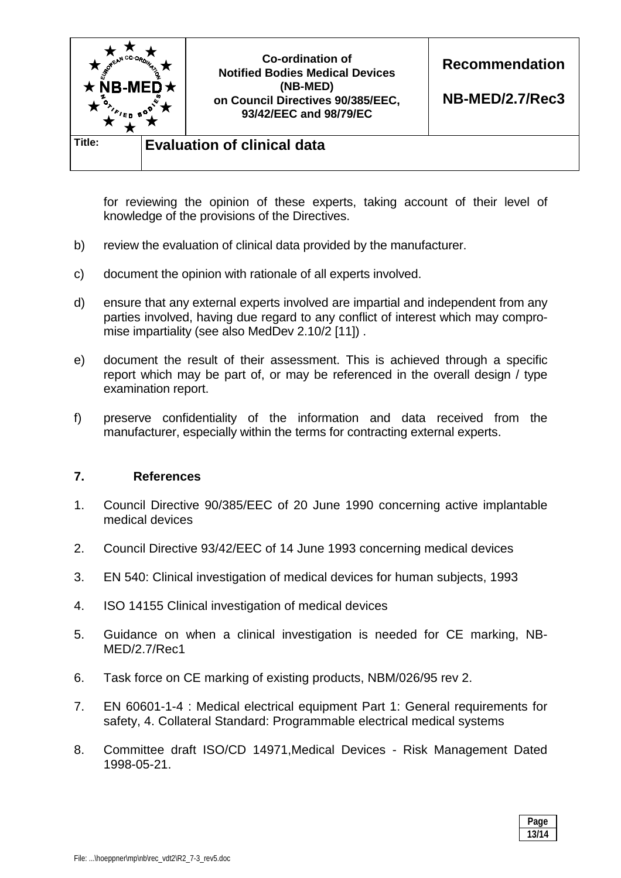

for reviewing the opinion of these experts, taking account of their level of knowledge of the provisions of the Directives.

- b) review the evaluation of clinical data provided by the manufacturer.
- c) document the opinion with rationale of all experts involved.
- d) ensure that any external experts involved are impartial and independent from any parties involved, having due regard to any conflict of interest which may compromise impartiality (see also MedDev 2.10/2 [11]) .
- e) document the result of their assessment. This is achieved through a specific report which may be part of, or may be referenced in the overall design / type examination report.
- f) preserve confidentiality of the information and data received from the manufacturer, especially within the terms for contracting external experts.

#### **7. References**

- 1. Council Directive 90/385/EEC of 20 June 1990 concerning active implantable medical devices
- 2. Council Directive 93/42/EEC of 14 June 1993 concerning medical devices
- 3. EN 540: Clinical investigation of medical devices for human subjects, 1993
- 4. ISO 14155 Clinical investigation of medical devices
- 5. Guidance on when a clinical investigation is needed for CE marking, NB-MED/2.7/Rec1
- 6. Task force on CE marking of existing products, NBM/026/95 rev 2.
- 7. EN 60601-1-4 : Medical electrical equipment Part 1: General requirements for safety, 4. Collateral Standard: Programmable electrical medical systems
- 8. Committee draft ISO/CD 14971,Medical Devices Risk Management Dated 1998-05-21.

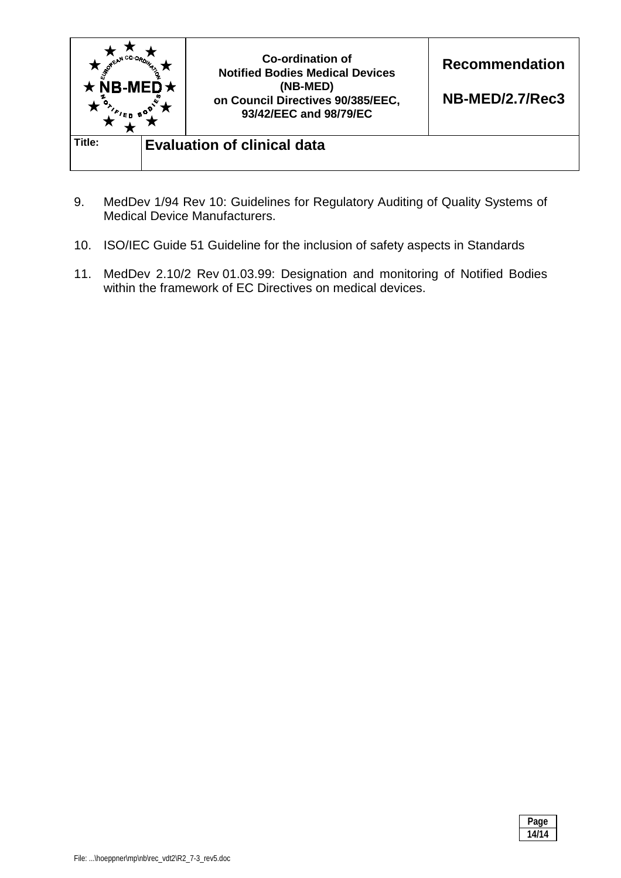

- 9. MedDev 1/94 Rev 10: Guidelines for Regulatory Auditing of Quality Systems of Medical Device Manufacturers.
- 10. ISO/IEC Guide 51 Guideline for the inclusion of safety aspects in Standards
- 11. MedDev 2.10/2 Rev 01.03.99: Designation and monitoring of Notified Bodies within the framework of EC Directives on medical devices.

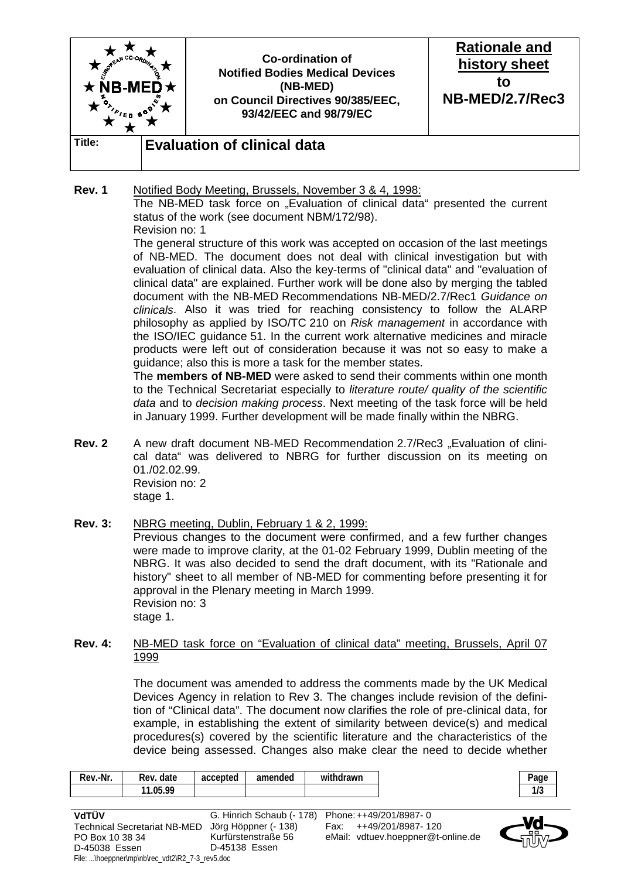

#### **Rev. 1** Notified Body Meeting, Brussels, November 3 & 4, 1998:

The NB-MED task force on "Evaluation of clinical data" presented the current status of the work (see document NBM/172/98).

Revision no: 1

 The general structure of this work was accepted on occasion of the last meetings of NB-MED. The document does not deal with clinical investigation but with evaluation of clinical data. Also the key-terms of "clinical data" and "evaluation of clinical data" are explained. Further work will be done also by merging the tabled document with the NB-MED Recommendations NB-MED/2.7/Rec1 *Guidance on clinicals*. Also it was tried for reaching consistency to follow the ALARP philosophy as applied by ISO/TC 210 on *Risk management* in accordance with the ISO/IEC guidance 51. In the current work alternative medicines and miracle products were left out of consideration because it was not so easy to make a guidance; also this is more a task for the member states.

 The **members of NB-MED** were asked to send their comments within one month to the Technical Secretariat especially to *literature route/ quality of the scientific data* and to *decision making process*. Next meeting of the task force will be held in January 1999. Further development will be made finally within the NBRG.

**Rev. 2** A new draft document NB-MED Recommendation 2.7/Rec3 "Evaluation of clinical data" was delivered to NBRG for further discussion on its meeting on 01./02.02.99. Revision no: 2 stage 1.

#### **Rev. 3:** NBRG meeting, Dublin, February 1 & 2, 1999: Previous changes to the document were confirmed, and a few further changes were made to improve clarity, at the 01-02 February 1999, Dublin meeting of the NBRG. It was also decided to send the draft document, with its "Rationale and history" sheet to all member of NB-MED for commenting before presenting it for approval in the Plenary meeting in March 1999. Revision no: 3 stage 1.

#### **Rev. 4:** NB-MED task force on "Evaluation of clinical data" meeting, Brussels, April 07 1999

 The document was amended to address the comments made by the UK Medical Devices Agency in relation to Rev 3. The changes include revision of the definition of "Clinical data". The document now clarifies the role of pre-clinical data, for example, in establishing the extent of similarity between device(s) and medical procedures(s) covered by the scientific literature and the characteristics of the device being assessed. Changes also make clear the need to decide whether

| -Nr.<br>Rev. | Rev. date             | accepted | amended | .<br>withdrawn |
|--------------|-----------------------|----------|---------|----------------|
|              | <b>NE 00</b><br>.UJ.7 |          |         |                |

| VdTÜV                                             | G. Hinrich Schaub (- 178) Phone: ++49/201/8987-0 |                                    |  |  |  |
|---------------------------------------------------|--------------------------------------------------|------------------------------------|--|--|--|
| Technical Secretariat NB-MED Jörg Höppner (- 138) |                                                  | Fax: ++49/201/8987-120             |  |  |  |
| PO Box 10 38 34                                   | Kurfürstenstraße 56                              | eMail: vdtuev.hoeppner@t-online.de |  |  |  |
| D-45038 Essen                                     | D-45138 Essen                                    |                                    |  |  |  |
| File: \hoeppner\mp\nb\rec_vdt2\R2_7-3_rev5.doc    |                                                  |                                    |  |  |  |

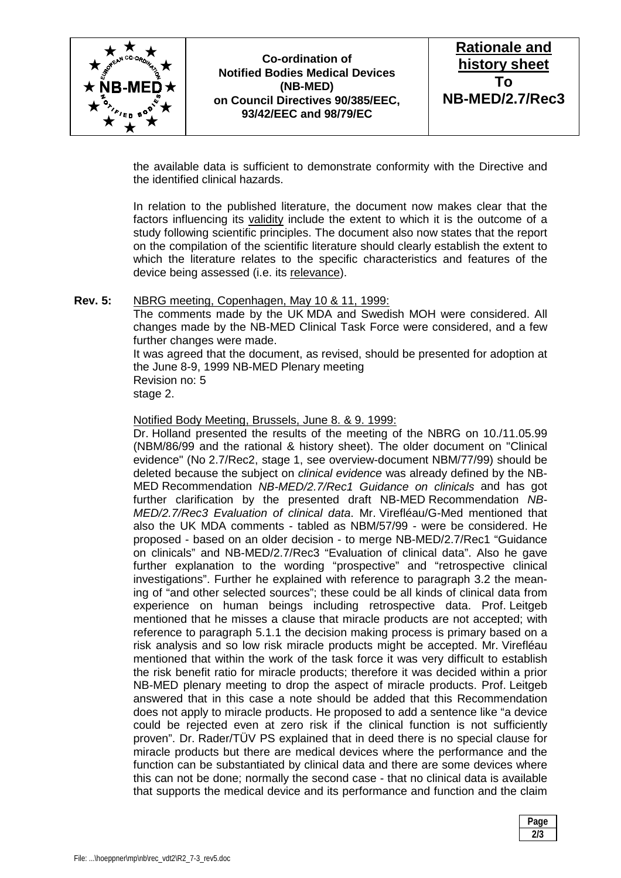



the available data is sufficient to demonstrate conformity with the Directive and the identified clinical hazards.

 In relation to the published literature, the document now makes clear that the factors influencing its validity include the extent to which it is the outcome of a study following scientific principles. The document also now states that the report on the compilation of the scientific literature should clearly establish the extent to which the literature relates to the specific characteristics and features of the device being assessed (i.e. its relevance).

#### **Rev. 5:** NBRG meeting, Copenhagen, May 10 & 11, 1999:

 The comments made by the UK MDA and Swedish MOH were considered. All changes made by the NB-MED Clinical Task Force were considered, and a few further changes were made.

 It was agreed that the document, as revised, should be presented for adoption at the June 8-9, 1999 NB-MED Plenary meeting Revision no: 5 stage 2.

Notified Body Meeting, Brussels, June 8. & 9. 1999:

 Dr. Holland presented the results of the meeting of the NBRG on 10./11.05.99 (NBM/86/99 and the rational & history sheet). The older document on "Clinical evidence" (No 2.7/Rec2, stage 1, see overview-document NBM/77/99) should be deleted because the subject on *clinical evidence* was already defined by the NB-MED Recommendation *NB-MED/2.7/Rec1 Guidance on clinicals* and has got further clarification by the presented draft NB-MED Recommendation *NB-MED/2.7/Rec3 Evaluation of clinical data*. Mr. Virefléau/G-Med mentioned that also the UK MDA comments - tabled as NBM/57/99 - were be considered. He proposed - based on an older decision - to merge NB-MED/2.7/Rec1 "Guidance on clinicals" and NB-MED/2.7/Rec3 "Evaluation of clinical data". Also he gave further explanation to the wording "prospective" and "retrospective clinical investigations". Further he explained with reference to paragraph 3.2 the meaning of "and other selected sources"; these could be all kinds of clinical data from experience on human beings including retrospective data. Prof. Leitgeb mentioned that he misses a clause that miracle products are not accepted; with reference to paragraph 5.1.1 the decision making process is primary based on a risk analysis and so low risk miracle products might be accepted. Mr. Virefléau mentioned that within the work of the task force it was very difficult to establish the risk benefit ratio for miracle products; therefore it was decided within a prior NB-MED plenary meeting to drop the aspect of miracle products. Prof. Leitgeb answered that in this case a note should be added that this Recommendation does not apply to miracle products. He proposed to add a sentence like "a device could be rejected even at zero risk if the clinical function is not sufficiently proven". Dr. Rader/TÜV PS explained that in deed there is no special clause for miracle products but there are medical devices where the performance and the function can be substantiated by clinical data and there are some devices where this can not be done; normally the second case - that no clinical data is available that supports the medical device and its performance and function and the claim